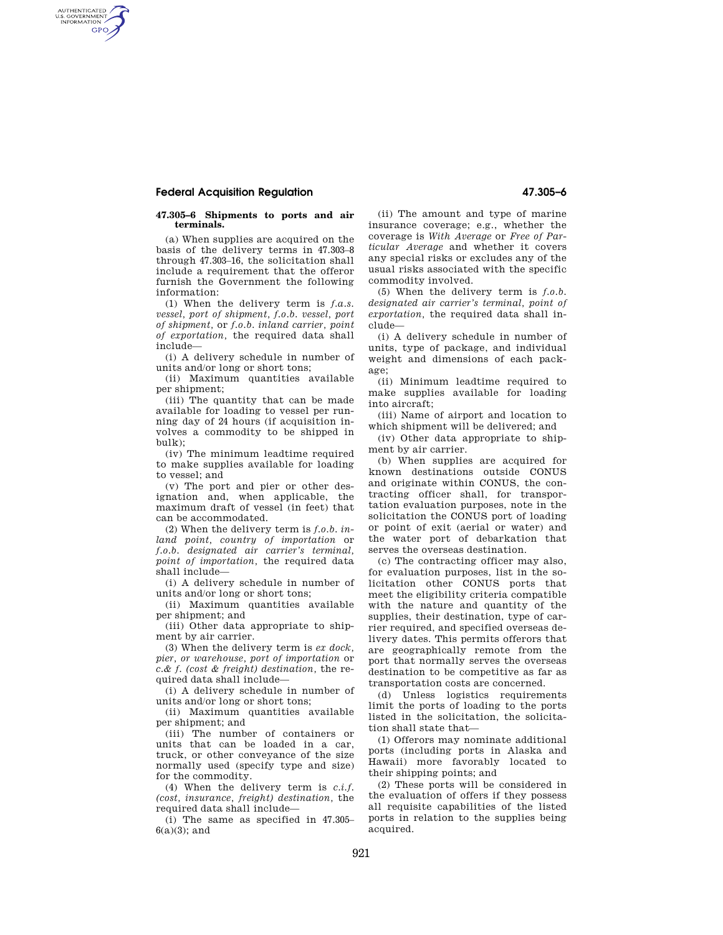## **Federal Acquisition Regulation 47.305–6**

AUTHENTICATED<br>U.S. GOVERNMENT<br>INFORMATION **GPO** 

## **47.305–6 Shipments to ports and air terminals.**

(a) When supplies are acquired on the basis of the delivery terms in 47.303–8 through 47.303–16, the solicitation shall include a requirement that the offeror furnish the Government the following information:

(1) When the delivery term is *f.a.s. vessel, port of shipment, f.o.b. vessel, port of shipment,* or *f.o.b. inland carrier, point of exportation,* the required data shall include—

(i) A delivery schedule in number of units and/or long or short tons;

(ii) Maximum quantities available per shipment;

(iii) The quantity that can be made available for loading to vessel per running day of 24 hours (if acquisition involves a commodity to be shipped in bulk);

(iv) The minimum leadtime required to make supplies available for loading to vessel; and

(v) The port and pier or other designation and, when applicable, the maximum draft of vessel (in feet) that can be accommodated.

(2) When the delivery term is *f.o.b. inland point, country of importation* or *f.o.b. designated air carrier's terminal, point of importation,* the required data shall include—

(i) A delivery schedule in number of units and/or long or short tons;

(ii) Maximum quantities available per shipment; and

(iii) Other data appropriate to shipment by air carrier.

(3) When the delivery term is *ex dock, pier, or warehouse, port of importation* or *c.& f. (cost & freight) destination,* the required data shall include—

(i) A delivery schedule in number of units and/or long or short tons;

(ii) Maximum quantities available per shipment; and

(iii) The number of containers or units that can be loaded in a car, truck, or other conveyance of the size normally used (specify type and size) for the commodity.

(4) When the delivery term is *c.i.f. (cost, insurance, freight) destination,* the required data shall include—

(i) The same as specified in 47.305–  $6(a)(3)$ ; and

(ii) The amount and type of marine insurance coverage; e.g., whether the coverage is *With Average* or *Free of Particular Average* and whether it covers any special risks or excludes any of the usual risks associated with the specific commodity involved.

(5) When the delivery term is *f.o.b. designated air carrier's terminal, point of exportation,* the required data shall include—

(i) A delivery schedule in number of units, type of package, and individual weight and dimensions of each package;

(ii) Minimum leadtime required to make supplies available for loading into aircraft;

(iii) Name of airport and location to which shipment will be delivered; and

(iv) Other data appropriate to shipment by air carrier.

(b) When supplies are acquired for known destinations outside CONUS and originate within CONUS, the contracting officer shall, for transportation evaluation purposes, note in the solicitation the CONUS port of loading or point of exit (aerial or water) and the water port of debarkation that serves the overseas destination.

(c) The contracting officer may also, for evaluation purposes, list in the solicitation other CONUS ports that meet the eligibility criteria compatible with the nature and quantity of the supplies, their destination, type of carrier required, and specified overseas delivery dates. This permits offerors that are geographically remote from the port that normally serves the overseas destination to be competitive as far as transportation costs are concerned.

(d) Unless logistics requirements limit the ports of loading to the ports listed in the solicitation, the solicitation shall state that—

(1) Offerors may nominate additional ports (including ports in Alaska and Hawaii) more favorably located to their shipping points; and

(2) These ports will be considered in the evaluation of offers if they possess all requisite capabilities of the listed ports in relation to the supplies being acquired.